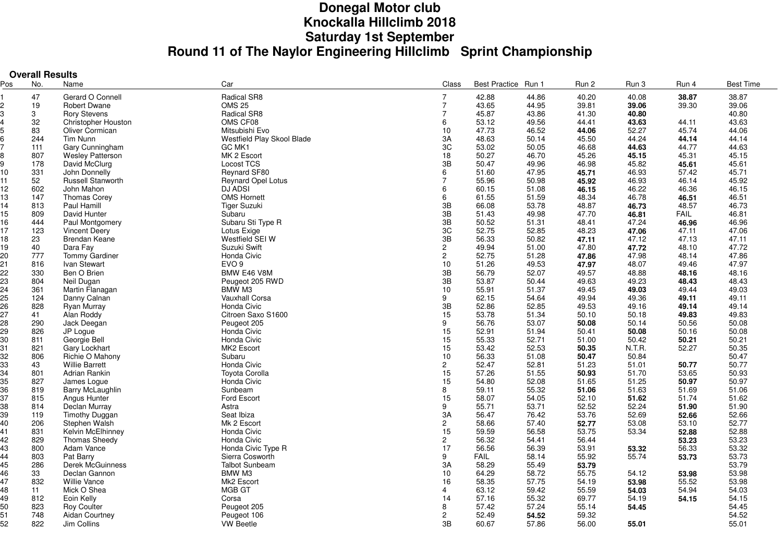# **Donegal Motor club Knockalla Hillclimb 2018Saturday 1st September Round 11 of The Naylor Engineering Hillclimb Sprint Championship**

|     | <b>Overall Results</b> |                         |                            |                      |                     |       |       |        |             |                  |
|-----|------------------------|-------------------------|----------------------------|----------------------|---------------------|-------|-------|--------|-------------|------------------|
| Pos | No.                    | Name                    | Car                        | Class                | Best Practice Run 1 |       | Run 2 | Run 3  | Run 4       | <b>Best Time</b> |
|     | 47                     | Gerard O Connell        | Radical SR8                | $\overline{7}$       | 42.88               | 44.86 | 40.20 | 40.08  | 38.87       | 38.87            |
|     | 19                     | <b>Robert Dwane</b>     | <b>OMS 25</b>              | $\overline{7}$       | 43.65               | 44.95 | 39.81 | 39.06  | 39.30       | 39.06            |
|     | 3                      | <b>Rory Stevens</b>     | Radical SR8                | $\overline{7}$       | 45.87               | 43.86 | 41.30 | 40.80  |             | 40.80            |
|     | 32                     | Christopher Houston     | OMS CF08                   | 6                    | 53.12               | 49.56 | 44.41 | 43.63  | 44.11       | 43.63            |
|     | 83                     | Oliver Cormican         | Mitsubishi Evo             | 10                   | 47.73               | 46.52 | 44.06 | 52.27  | 45.74       | 44.06            |
|     | 244                    | Tim Nunn                | Westfield Play Skool Blade | 3A                   | 48.63               | 50.14 | 45.50 | 44.24  | 44.14       | 44.14            |
|     | 111                    | Gary Cunningham         | GC MK1                     | 3C                   | 53.02               | 50.05 | 46.68 | 44.63  | 44.77       | 44.63            |
|     | 807                    | <b>Wesley Patterson</b> | MK 2 Escort                | 18                   | 50.27               | 46.70 | 45.26 | 45.15  | 45.31       | 45.15            |
|     | 178                    | David McClurg           | <b>Locost TCS</b>          | 3B                   | 50.47               | 49.96 | 46.98 | 45.82  | 45.61       | 45.61            |
| 10  | 331                    | John Donnelly           | Reynard SF80               | 6                    | 51.60               | 47.95 | 45.71 | 46.93  | 57.42       | 45.71            |
| 11  | 52                     | Russell Stanworth       | <b>Reynard Opel Lotus</b>  | $\overline{7}$       | 55.96               | 50.98 | 45.92 | 46.93  | 46.14       | 45.92            |
| 12  | 602                    | John Mahon              | <b>DJ ADSI</b>             | 6                    | 60.15               | 51.08 | 46.15 | 46.22  | 46.36       | 46.15            |
| 13  | 147                    | Thomas Corey            | <b>OMS Hornett</b>         | 6                    | 61.55               | 51.59 | 48.34 | 46.78  | 46.51       | 46.51            |
| 14  | 813                    | Paul Hamill             | <b>Tiger Suzuki</b>        | 3B                   | 66.08               | 53.78 | 48.87 | 46.73  | 48.57       | 46.73            |
| 15  | 809                    | David Hunter            | Subaru                     | 3B                   | 51.43               | 49.98 | 47.70 | 46.81  | <b>FAIL</b> | 46.81            |
| 16  | 444                    | Paul Montgomery         | Subaru Sti Type R          | 3B                   | 50.52               | 51.31 | 48.41 | 47.24  | 46.96       | 46.96            |
| 17  | 123                    | <b>Vincent Deery</b>    | Lotus Exige                | 3C                   | 52.75               | 52.85 | 48.23 | 47.06  | 47.11       | 47.06            |
| 18  | 23                     | Brendan Keane           | Westfield SEI W            | 3B                   | 56.33               | 50.82 | 47.11 | 47.12  | 47.13       | 47.11            |
| 19  | 40                     | Dara Fay                | Suzuki Swift               | $\overline{2}$       | 49.94               | 51.00 | 47.80 | 47.72  | 48.10       | 47.72            |
| 20  | 777                    | Tommy Gardiner          | Honda Civic                | $\overline{2}$       | 52.75               | 51.28 | 47.86 | 47.98  | 48.14       | 47.86            |
| 21  | 816                    | Ivan Stewart            | EVO <sub>9</sub>           | 10                   | 51.26               | 49.53 | 47.97 | 48.07  | 49.46       | 47.97            |
| 22  | 330                    | Ben O Brien             | BMW E46 V8M                | 3B                   | 56.79               | 52.07 | 49.57 | 48.88  | 48.16       | 48.16            |
| 23  | 804                    | Neil Dugan              | Peugeot 205 RWD            | 3B                   | 53.87               | 50.44 | 49.63 | 49.23  | 48.43       | 48.43            |
| 24  | 361                    | Martin Flanagan         | BMW M3                     | 10                   | 55.91               | 51.37 | 49.45 | 49.03  | 49.44       | 49.03            |
| 25  | 124                    | Danny Calnan            | Vauxhall Corsa             | 9                    | 62.15               | 54.64 | 49.94 | 49.36  | 49.11       | 49.11            |
| 26  | 828                    | <b>Ryan Murray</b>      | Honda Civic                | 3B                   | 52.86               | 52.85 | 49.53 | 49.16  | 49.14       | 49.14            |
| 27  | 41                     | Alan Roddy              | Citroen Saxo S1600         | 15                   | 53.78               | 51.34 | 50.10 | 50.18  | 49.83       | 49.83            |
| 28  | 290                    | Jack Deegan             | Peugeot 205                | 9                    | 56.76               | 53.07 | 50.08 | 50.14  | 50.56       | 50.08            |
| 29  | 826                    | JP Loque                | Honda Civic                | 15                   | 52.91               | 51.94 | 50.41 | 50.08  | 50.16       | 50.08            |
| 30  | 811                    | Georgie Bell            | Honda Civic                | 15                   | 55.33               | 52.71 | 51.00 | 50.42  | 50.21       | 50.21            |
| 31  | 821                    | Gary Lockhart           | MK2 Escort                 | 15                   | 53.42               | 52.53 | 50.35 | N.T.R. | 52.27       | 50.35            |
| 32  | 806                    | Richie O Mahony         | Subaru                     | 10                   | 56.33               | 51.08 | 50.47 | 50.84  |             | 50.47            |
| 33  | 43                     | <b>Willie Barrett</b>   | Honda Civic                | $\overline{2}$       | 52.47               | 52.81 | 51.23 | 51.01  | 50.77       | 50.77            |
| 34  | 801                    | Adrian Rankin           | Toyota Corolla             | 15                   | 57.26               | 51.55 | 50.93 | 51.70  | 53.65       | 50.93            |
| 35  | 827                    | James Loque             | Honda Civic                | 15                   | 54.80               | 52.08 | 51.65 | 51.25  | 50.97       | 50.97            |
| 36  | 819                    | Barry McLaughlin        | Sunbeam                    | 8                    | 59.11               | 55.32 | 51.06 | 51.63  | 51.69       | 51.06            |
| 37  | 815                    | Angus Hunter            | Ford Escort                | 15                   | 58.07               | 54.05 | 52.10 | 51.62  | 51.74       | 51.62            |
| 38  | 814                    | Declan Murray           | Astra                      | 9                    | 55.71               | 53.71 | 52.52 | 52.24  | 51.90       | 51.90            |
| 39  | 119                    | <b>Timothy Duggan</b>   | Seat Ibiza                 | 3A                   | 56.47               | 76.42 | 53.76 | 52.69  | 52.66       | 52.66            |
| 40  | 206                    | Stephen Walsh           | Mk 2 Escort                | $\mathbf{2}^{\circ}$ | 58.66               | 57.40 | 52.77 | 53.08  | 53.10       | 52.77            |
| 41  | 831                    | Kelvin McElhinney       | Honda Civic                | 15                   | 59.59               | 56.58 | 53.75 | 53.34  | 52.88       | 52.88            |
| 42  | 829                    | <b>Thomas Sheedy</b>    | Honda Civic                | $\overline{c}$       | 56.32               | 54.41 | 56.44 |        | 53.23       | 53.23            |
| 43  | 800                    | Adam Vance              | Honda Civic Type R         | 17                   | 56.56               | 56.39 | 53.91 | 53.32  | 56.33       | 53.32            |
| 44  | 803                    | Pat Barry               | Sierra Cosworth            | 9                    | <b>FAIL</b>         | 58.14 | 55.92 | 55.74  | 53.73       | 53.73            |
| 45  | 286                    | Derek McGuinness        | <b>Talbot Sunbeam</b>      | 3A                   | 58.29               | 55.49 | 53.79 |        |             | 53.79            |
| 46  | 33                     | Declan Gannon           | BMW M3                     | 10                   | 64.29               | 58.72 | 55.75 | 54.12  | 53.98       | 53.98            |
| 47  | 832                    | <b>Willie Vance</b>     | Mk2 Escort                 | 16                   | 58.35               | 57.75 | 54.19 | 53.98  | 55.52       | 53.98            |
| 48  | 11                     | Mick O Shea             | MGB GT                     | 4                    | 63.12               | 59.42 | 55.59 | 54.03  | 54.94       | 54.03            |
| 49  | 812                    | Eoin Kelly              | Corsa                      | 14                   | 57.16               | 55.32 | 69.77 | 54.19  | 54.15       | 54.15            |
| 50  | 823                    | <b>Roy Coulter</b>      | Peugeot 205                | 8                    | 57.42               | 57.24 | 55.14 | 54.45  |             | 54.45            |
| 51  | 748                    | Aidan Courtney          | Peugeot 106                | $\overline{2}$       | 52.49               | 54.52 | 59.32 |        |             | 54.52            |
| 52  | 822                    | Jim Collins             | <b>VW Beetle</b>           | 3B                   | 60.67               | 57.86 | 56.00 | 55.01  |             | 55.01            |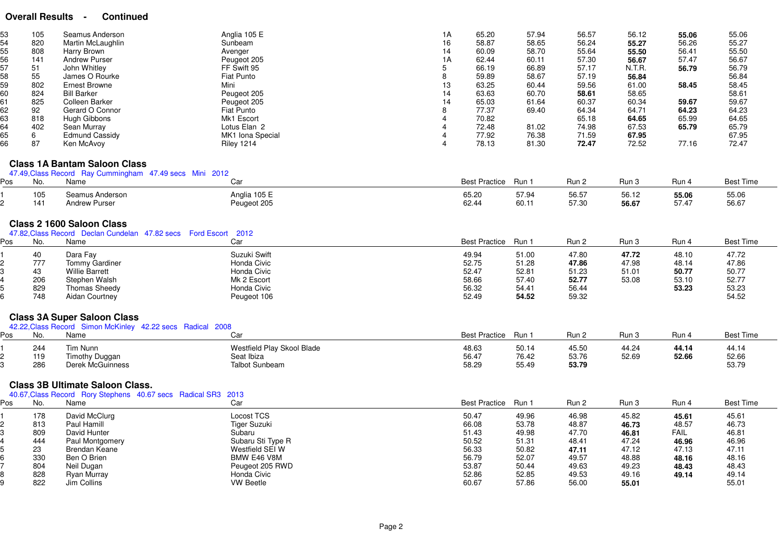# **Overall Results - Continued**

| 53<br>54<br>55<br>56<br>57<br>58<br>59<br>60<br>61<br>62<br>63<br>64<br>65<br>66 | 105<br>820<br>808<br>141<br>51<br>55<br>802<br>824<br>825<br>92<br>818<br>402<br>6<br>87 | Seamus Anderson<br>Martin McLaughlin<br>Harry Brown<br><b>Andrew Purser</b><br>John Whitley<br>James O Rourke<br>Ernest Browne<br><b>Bill Barker</b><br>Colleen Barker<br>Gerard O Connor<br>Hugh Gibbons<br>Sean Murray<br>Edmund Cassidy<br>Ken McAvoy | Anglia 105 E<br>Sunbeam<br>Avenger<br>Peugeot 205<br>FF Swift 95<br>Fiat Punto<br>Mini<br>Peugeot 205<br>Peugeot 205<br>Fiat Punto<br>Mk1 Escort<br>Lotus Elan 2<br>MK1 Iona Special<br><b>Riley 1214</b> | 1A<br>16<br>14<br>1A<br>5<br>8<br>13<br>14<br>14<br>8<br>$\overline{4}$ | 65.20<br>58.87<br>60.09<br>62.44<br>66.19<br>59.89<br>63.25<br>63.63<br>65.03<br>77.37<br>70.82<br>72.48<br>77.92<br>78.13 | 57.94<br>58.65<br>58.70<br>60.11<br>66.89<br>58.67<br>60.44<br>60.70<br>61.64<br>69.40<br>81.02<br>76.38<br>81.30 | 56.57<br>56.24<br>55.64<br>57.30<br>57.17<br>57.19<br>59.56<br>58.61<br>60.37<br>64.34<br>65.18<br>74.98<br>71.59<br>72.47 | 56.12<br>55.27<br>55.50<br>56.67<br>N.T.R.<br>56.84<br>61.00<br>58.65<br>60.34<br>64.71<br>64.65<br>67.53<br>67.95<br>72.52 | 55.06<br>56.26<br>56.41<br>57.47<br>56.79<br>58.45<br>59.67<br>64.23<br>65.99<br>65.79<br>77.16 | 55.06<br>55.27<br>55.50<br>56.67<br>56.79<br>56.84<br>58.45<br>58.61<br>59.67<br>64.23<br>64.65<br>65.79<br>67.95<br>72.47 |
|----------------------------------------------------------------------------------|------------------------------------------------------------------------------------------|----------------------------------------------------------------------------------------------------------------------------------------------------------------------------------------------------------------------------------------------------------|-----------------------------------------------------------------------------------------------------------------------------------------------------------------------------------------------------------|-------------------------------------------------------------------------|----------------------------------------------------------------------------------------------------------------------------|-------------------------------------------------------------------------------------------------------------------|----------------------------------------------------------------------------------------------------------------------------|-----------------------------------------------------------------------------------------------------------------------------|-------------------------------------------------------------------------------------------------|----------------------------------------------------------------------------------------------------------------------------|
|                                                                                  |                                                                                          | <b>Class 1A Bantam Saloon Class</b>                                                                                                                                                                                                                      |                                                                                                                                                                                                           |                                                                         |                                                                                                                            |                                                                                                                   |                                                                                                                            |                                                                                                                             |                                                                                                 |                                                                                                                            |
|                                                                                  |                                                                                          | 47.49, Class Record Ray Cummingham 47.49 secs Mini 2012                                                                                                                                                                                                  |                                                                                                                                                                                                           |                                                                         |                                                                                                                            |                                                                                                                   |                                                                                                                            |                                                                                                                             |                                                                                                 |                                                                                                                            |
| Pos                                                                              | No.                                                                                      | Name                                                                                                                                                                                                                                                     | Car                                                                                                                                                                                                       |                                                                         | <b>Best Practice</b>                                                                                                       | Run 1                                                                                                             | Run 2                                                                                                                      | Run 3                                                                                                                       | Run 4                                                                                           | <b>Best Time</b>                                                                                                           |
|                                                                                  | 105<br>141                                                                               | Seamus Anderson<br><b>Andrew Purser</b>                                                                                                                                                                                                                  | Anglia 105 E<br>Peugeot 205                                                                                                                                                                               |                                                                         | 65.20<br>62.44                                                                                                             | 57.94<br>60.11                                                                                                    | 56.57<br>57.30                                                                                                             | 56.12<br>56.67                                                                                                              | 55.06<br>57.47                                                                                  | 55.06<br>56.67                                                                                                             |
| Pos                                                                              | No.                                                                                      | <b>Class 2 1600 Saloon Class</b><br>47.82 Class Record Declan Cundelan 47.82 secs Ford Escort 2012<br>Name                                                                                                                                               | Car                                                                                                                                                                                                       |                                                                         | <b>Best Practice</b>                                                                                                       | Run 1                                                                                                             | Run 2                                                                                                                      | Run 3                                                                                                                       | Run 4                                                                                           | <b>Best Time</b>                                                                                                           |
|                                                                                  | 40                                                                                       | Dara Fay                                                                                                                                                                                                                                                 | Suzuki Swift                                                                                                                                                                                              |                                                                         | 49.94                                                                                                                      | 51.00                                                                                                             | 47.80                                                                                                                      | 47.72                                                                                                                       | 48.10                                                                                           | 47.72                                                                                                                      |
|                                                                                  | 777                                                                                      | Tommy Gardiner                                                                                                                                                                                                                                           | Honda Civic                                                                                                                                                                                               |                                                                         | 52.75                                                                                                                      | 51.28                                                                                                             | 47.86                                                                                                                      | 47.98                                                                                                                       | 48.14                                                                                           | 47.86                                                                                                                      |
|                                                                                  | 43                                                                                       | Willie Barrett                                                                                                                                                                                                                                           | Honda Civic                                                                                                                                                                                               |                                                                         | 52.47                                                                                                                      | 52.81                                                                                                             | 51.23                                                                                                                      | 51.01                                                                                                                       | 50.77                                                                                           | 50.77                                                                                                                      |
|                                                                                  | 206                                                                                      | Stephen Walsh                                                                                                                                                                                                                                            | Mk 2 Escort                                                                                                                                                                                               |                                                                         | 58.66                                                                                                                      | 57.40                                                                                                             | 52.77                                                                                                                      | 53.08                                                                                                                       | 53.10                                                                                           | 52.77                                                                                                                      |
|                                                                                  | 829                                                                                      | <b>Thomas Sheedy</b>                                                                                                                                                                                                                                     | Honda Civic                                                                                                                                                                                               |                                                                         | 56.32                                                                                                                      | 54.41                                                                                                             | 56.44                                                                                                                      |                                                                                                                             | 53.23                                                                                           | 53.23                                                                                                                      |
|                                                                                  | 748                                                                                      | <b>Aidan Courtney</b>                                                                                                                                                                                                                                    | Peugeot 106                                                                                                                                                                                               |                                                                         | 52.49                                                                                                                      | 54.52                                                                                                             | 59.32                                                                                                                      |                                                                                                                             |                                                                                                 | 54.52                                                                                                                      |
|                                                                                  |                                                                                          | <b>Class 3A Super Saloon Class</b>                                                                                                                                                                                                                       |                                                                                                                                                                                                           |                                                                         |                                                                                                                            |                                                                                                                   |                                                                                                                            |                                                                                                                             |                                                                                                 |                                                                                                                            |
|                                                                                  |                                                                                          | 42.22, Class Record Simon McKinley 42.22 secs Radical 2008                                                                                                                                                                                               |                                                                                                                                                                                                           |                                                                         |                                                                                                                            |                                                                                                                   |                                                                                                                            |                                                                                                                             |                                                                                                 |                                                                                                                            |
| Pos                                                                              | No.                                                                                      | Name                                                                                                                                                                                                                                                     | Car                                                                                                                                                                                                       |                                                                         | <b>Best Practice</b>                                                                                                       | Run 1                                                                                                             | Run 2                                                                                                                      | Run 3                                                                                                                       | Run 4                                                                                           | <b>Best Time</b>                                                                                                           |
|                                                                                  | 244                                                                                      | Tim Nunn                                                                                                                                                                                                                                                 | Westfield Play Skool Blade                                                                                                                                                                                |                                                                         | 48.63                                                                                                                      | 50.14                                                                                                             | 45.50                                                                                                                      | 44.24                                                                                                                       | 44.14                                                                                           | 44.14                                                                                                                      |
|                                                                                  | 119                                                                                      | <b>Timothy Duggan</b>                                                                                                                                                                                                                                    | Seat Ibiza                                                                                                                                                                                                |                                                                         | 56.47                                                                                                                      | 76.42                                                                                                             | 53.76                                                                                                                      | 52.69                                                                                                                       | 52.66                                                                                           | 52.66                                                                                                                      |
|                                                                                  | 286                                                                                      | <b>Derek McGuinness</b>                                                                                                                                                                                                                                  | <b>Talbot Sunbeam</b>                                                                                                                                                                                     |                                                                         | 58.29                                                                                                                      | 55.49                                                                                                             | 53.79                                                                                                                      |                                                                                                                             |                                                                                                 | 53.79                                                                                                                      |
|                                                                                  |                                                                                          | <b>Class 3B Ultimate Saloon Class.</b>                                                                                                                                                                                                                   |                                                                                                                                                                                                           |                                                                         |                                                                                                                            |                                                                                                                   |                                                                                                                            |                                                                                                                             |                                                                                                 |                                                                                                                            |
|                                                                                  |                                                                                          | 40.67, Class Record Rory Stephens 40.67 secs Radical SR3 2013                                                                                                                                                                                            |                                                                                                                                                                                                           |                                                                         |                                                                                                                            |                                                                                                                   |                                                                                                                            |                                                                                                                             |                                                                                                 |                                                                                                                            |
| Pos                                                                              | No.                                                                                      | Name                                                                                                                                                                                                                                                     | Car                                                                                                                                                                                                       |                                                                         | <b>Best Practice</b>                                                                                                       | Run 1                                                                                                             | Run 2                                                                                                                      | Run 3                                                                                                                       | Run 4                                                                                           | <b>Best Time</b>                                                                                                           |
|                                                                                  | 178                                                                                      | David McClurg                                                                                                                                                                                                                                            | <b>Locost TCS</b>                                                                                                                                                                                         |                                                                         | 50.47                                                                                                                      | 49.96                                                                                                             | 46.98                                                                                                                      | 45.82                                                                                                                       | 45.61                                                                                           | 45.61                                                                                                                      |
|                                                                                  | 813                                                                                      | Paul Hamill                                                                                                                                                                                                                                              | Tiger Suzuki                                                                                                                                                                                              |                                                                         | 66.08                                                                                                                      | 53.78                                                                                                             | 48.87                                                                                                                      | 46.73                                                                                                                       | 48.57                                                                                           | 46.73                                                                                                                      |
|                                                                                  | 809                                                                                      | David Hunter                                                                                                                                                                                                                                             | Subaru                                                                                                                                                                                                    |                                                                         | 51.43                                                                                                                      | 49.98                                                                                                             | 47.70                                                                                                                      | 46.81                                                                                                                       | <b>FAIL</b>                                                                                     | 46.81                                                                                                                      |
|                                                                                  | 444                                                                                      | Paul Montgomery                                                                                                                                                                                                                                          | Subaru Sti Type R<br>Westfield SEI W                                                                                                                                                                      |                                                                         | 50.52<br>56.33                                                                                                             | 51.31                                                                                                             | 48.41                                                                                                                      | 47.24<br>47.12                                                                                                              | 46.96                                                                                           | 46.96                                                                                                                      |
|                                                                                  | 23<br>330                                                                                | Brendan Keane<br>Ben O Brien                                                                                                                                                                                                                             | BMW E46 V8M                                                                                                                                                                                               |                                                                         | 56.79                                                                                                                      | 50.82<br>52.07                                                                                                    | 47.11<br>49.57                                                                                                             | 48.88                                                                                                                       | 47.13<br>48.16                                                                                  | 47.11<br>48.16                                                                                                             |
|                                                                                  | 804                                                                                      | Neil Dugan                                                                                                                                                                                                                                               | Peugeot 205 RWD                                                                                                                                                                                           |                                                                         | 53.87                                                                                                                      | 50.44                                                                                                             | 49.63                                                                                                                      | 49.23                                                                                                                       | 48.43                                                                                           | 48.43                                                                                                                      |
|                                                                                  | 828                                                                                      | Ryan Murray                                                                                                                                                                                                                                              | Honda Civic                                                                                                                                                                                               |                                                                         | 52.86                                                                                                                      | 52.85                                                                                                             | 49.53                                                                                                                      | 49.16                                                                                                                       | 49.14                                                                                           | 49.14                                                                                                                      |
|                                                                                  | 822                                                                                      | Jim Collins                                                                                                                                                                                                                                              | <b>VW Beetle</b>                                                                                                                                                                                          |                                                                         | 60.67                                                                                                                      | 57.86                                                                                                             | 56.00                                                                                                                      | 55.01                                                                                                                       |                                                                                                 | 55.01                                                                                                                      |
|                                                                                  |                                                                                          |                                                                                                                                                                                                                                                          |                                                                                                                                                                                                           |                                                                         |                                                                                                                            |                                                                                                                   |                                                                                                                            |                                                                                                                             |                                                                                                 |                                                                                                                            |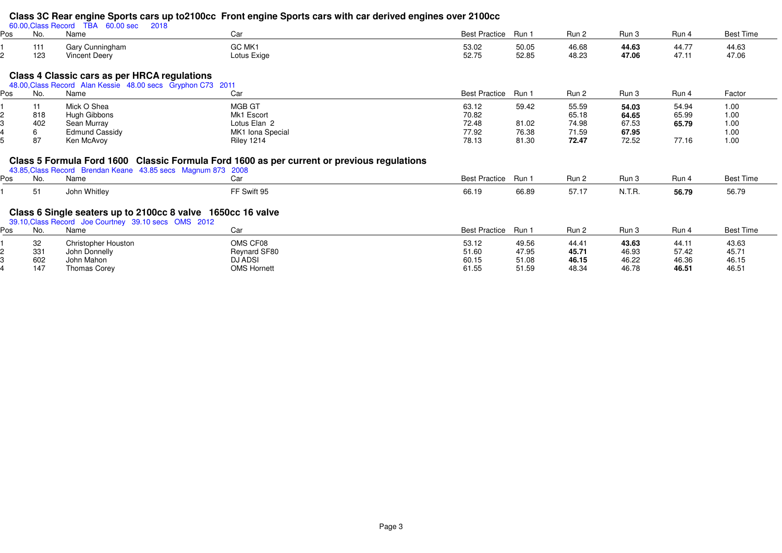# **Class 3C Rear engine Sports cars up to2100cc Front engine Sports cars with car derived engines over 2100cc** 60.00,Class Record TBA 60.00 sec 2018

4

| Pos | .<br>No.   | .<br>_____<br>Name                      | Car                   | <b>Best Practice</b> | Run 1          | Run 2          | Run 3          | Run 4          | <b>Best Time</b> |
|-----|------------|-----------------------------------------|-----------------------|----------------------|----------------|----------------|----------------|----------------|------------------|
|     | 111<br>123 | Gary Cunningham<br><b>Vincent Deery</b> | GC MK1<br>Lotus Exige | 53.02<br>52.75       | 50.05<br>52.85 | 46.68<br>48.23 | 44.63<br>47.06 | 44.77<br>47.11 | 44.63<br>47.06   |

## **Class 4 Classic cars as per HRCA regulations**

|     | 48.00, Class Record Alan Kessie 48.00 secs Gryphon C73 2011 |                       |                   |                     |       |       |       |       |        |  |  |  |
|-----|-------------------------------------------------------------|-----------------------|-------------------|---------------------|-------|-------|-------|-------|--------|--|--|--|
| Pos | No.                                                         | Name                  | Car               | Best Practice Run 1 |       | Run 2 | Run 3 | Run 4 | Factor |  |  |  |
|     |                                                             | Mick O Shea           | MGB GT            | 63.12               | 59.42 | 55.59 | 54.03 | 54.94 | 1.00   |  |  |  |
|     | 818                                                         | Hugh Gibbons          | Mk1 Escort        | 70.82               |       | 65.18 | 64.65 | 65.99 | 1.00   |  |  |  |
|     | 402                                                         | Sean Murray           | Lotus Elan 2      | 72.48               | 81.02 | 74.98 | 67.53 | 65.79 | 1.00   |  |  |  |
|     |                                                             | <b>Edmund Cassidy</b> | MK1 Iona Special  | 77.92               | 76.38 | 71.59 | 67.95 |       | 1.00   |  |  |  |
|     | 87                                                          | Ken McAvoy            | <b>Riley 1214</b> | 78.13               | 81.30 | 72.47 | 72.52 | 77.16 | 1.00   |  |  |  |

# **Class 5 Formula Ford 1600 Classic Formula Ford 1600 as per current or previous regulations** 43.85,Class Record Brendan Keane 43.85 secs Magnum 873 2008

|     |     | 43.85, Class Record Brendan Keane 43.85 secs Magnum 873 2008                                                        |              |                     |       |       |        |       |                  |
|-----|-----|---------------------------------------------------------------------------------------------------------------------|--------------|---------------------|-------|-------|--------|-------|------------------|
| Pos | No. | Name                                                                                                                | Car          | Best Practice Run 1 |       | Run 2 | Run 3  | Run 4 | <b>Best Time</b> |
|     | -51 | John Whitley                                                                                                        | FF Swift 95  | 66.19               | 66.89 | 57.17 | N.T.R. | 56.79 | 56.79            |
|     |     | Class 6 Single seaters up to 2100cc 8 valve 1650cc 16 valve<br>39.10, Class Record Joe Courtney 39.10 secs OMS 2012 |              |                     |       |       |        |       |                  |
| Pos | No. | Name                                                                                                                | Car          | Best Practice Run 1 |       | Run 2 | Run 3  | Run 4 | <b>Best Time</b> |
|     | 32  | Christopher Houston                                                                                                 | OMS CF08     | 53.12               | 49.56 | 44.41 | 43.63  | 44.11 | 43.63            |
|     | 331 | John Donnelly                                                                                                       | Reynard SF80 | 51.60               | 47.95 | 45.71 | 46.93  | 57.42 | 45.71            |
|     | 602 | John Mahon                                                                                                          | DJ ADSI      | 60.15               | 51.08 | 46.15 | 46.22  | 46.36 | 46.15            |

<sup>602</sup> John Mahon DJ ADSI 60.15 51.08 **46.15** 46.22 46.36 46.15

<sup>147</sup> Thomas Corey OMS Hornett 61.55 51.59 48.34 46.78 **46.51** 46.51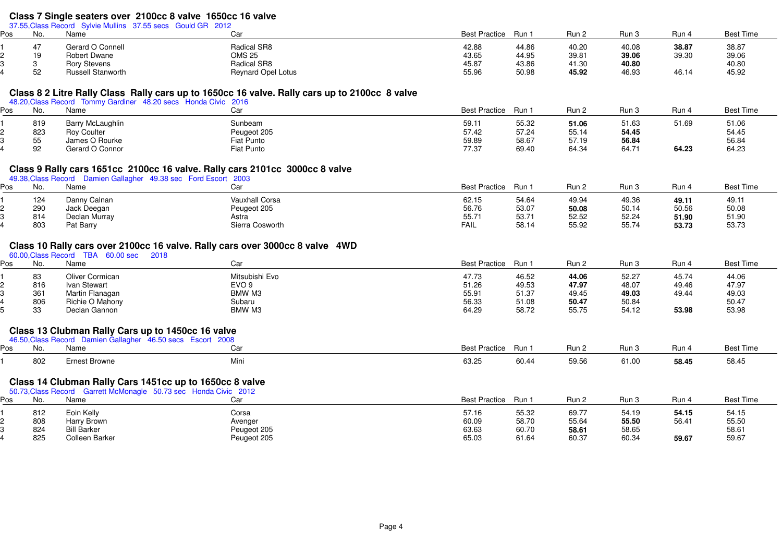# **Class 7 Single seaters over 2100cc 8 valve 1650cc 16 valve** 37.55,Class Record Sylvie Mullins 37.55 secs Gould GR 2012

| Pos | No.       | Name                     | Car                       | <b>Best Practice</b> | Run,  | Run 2 | Run 3 | Run 4 | Best Time |
|-----|-----------|--------------------------|---------------------------|----------------------|-------|-------|-------|-------|-----------|
|     |           | Gerard O Connell         | Radical SR8               | 42.88                | 44.86 | 40.20 | 40.08 | 38.87 | 38.87     |
|     | 10<br>כ ו | <b>Robert Dwane</b>      | <b>OMS 25</b>             | 43.65                | 44.95 | 39.81 | 39.06 | 39.30 | 39.06     |
|     |           | <b>Rory Stevens</b>      | Radical SR8               | 45.87                | 43.86 | 41.30 | 40.80 |       | 40.80     |
|     | 50<br>ັ   | <b>Russell Stanworth</b> | <b>Reynard Opel Lotus</b> | 55.96                | 50.98 | 45.92 | 46.93 | 46.14 | 45.92     |

#### **Class 8 2 Litre Rally Class Rally cars up to 1650cc 16 valve. Rally cars up to 2100cc 8 valve**

|     |     |                    | 48.20, Class Record Tommy Gardiner 48.20 secs Honda Civic 2016 |                     |       |       |       |       |           |
|-----|-----|--------------------|----------------------------------------------------------------|---------------------|-------|-------|-------|-------|-----------|
| Pos | No. | Name               | Car                                                            | Best Practice Run 1 |       | Run 2 | Run 3 | Run 4 | Best Time |
|     | 819 | Barry McLaughlin   | Sunbeam                                                        | 59.11               | 55.32 | 51.06 | 51.63 | 51.69 | 51.06     |
|     | 823 | <b>Roy Coulter</b> | Peugeot 205                                                    | 57.42               | 57.24 | 55.14 | 54.45 |       | 54.45     |
|     | 55  | James O Rourke     | Fiat Punto                                                     | 59.89               | 58.67 | 57.19 | 56.84 |       | 56.84     |
|     | 92  | Gerard O Connor    | Fiat Punto                                                     | 77.37               | 69.40 | 64.34 | 64.71 | 64.23 | 64.23     |

#### **Class 9 Rally cars 1651cc 2100cc 16 valve. Rally cars 2101cc 3000cc 8 valve**

|     |     | 49.38, Class Record Damien Gallagher 49.38 sec Ford Escort 2003 |                       |                     |       |       |       |       |                  |
|-----|-----|-----------------------------------------------------------------|-----------------------|---------------------|-------|-------|-------|-------|------------------|
| Pos | No. | Name                                                            | Car                   | Best Practice Run 1 |       | Run 2 | Run 3 | Run 4 | <b>Best Time</b> |
|     | 124 | Danny Calnan                                                    | <b>Vauxhall Corsa</b> | 62.15               | 54.64 | 49.94 | 49.36 | 49.11 | $49.1^{\circ}$   |
|     | 290 | Jack Deegan                                                     | Peugeot 205           | 56.76               | 53.07 | 50.08 | 50.14 | 50.56 | 50.08            |
|     | 814 | Declan Murray                                                   | Astra                 | 55.71               | 53.71 | 52.52 | 52.24 | 51.90 | 51.90            |
|     | 803 | Pat Barry                                                       | Sierra Cosworth       | <b>FAIL</b>         | 58.14 | 55.92 | 55.74 | 53.73 | 53.73            |

### **Class 10 Rally cars over 2100cc 16 valve. Rally cars over 3000cc 8 valve 4WD**

|     |     | 60.00, Class Record TBA<br>60.00 sec<br>2018 |                |                     |       |       |       |       |           |
|-----|-----|----------------------------------------------|----------------|---------------------|-------|-------|-------|-------|-----------|
| Pos | No. | Name                                         | Car            | Best Practice Run 1 |       | Run 2 | Run 3 | Run 4 | Best Time |
|     | 83  | Oliver Cormican                              | Mitsubishi Evo | 47.73               | 46.52 | 44.06 | 52.27 | 45.74 | 44.06     |
|     | 816 | Ivan Stewart                                 | EVO 9          | 51.26               | 49.53 | 47.97 | 48.07 | 49.46 | 47.97     |
|     | 361 | Martin Flanagan                              | BMW M3         | 55.91               | 51.37 | 49.45 | 49.03 | 49.44 | 49.03     |
|     | 806 | Richie O Mahony                              | Subaru         | 56.33               | 51.08 | 50.47 | 50.84 |       | 50.47     |
|     | 33  | Declan Gannon                                | BMW M3         | 64.29               | 58.72 | 55.75 | 54.12 | 53.98 | 53.98     |
|     |     |                                              |                |                     |       |       |       |       |           |

### **Class 13 Clubman Rally Cars up to 1450cc 16 valve**

|     |     |               | 2008<br>sco<br>$.50 \text{ cm}$ |                             |       |       |       |       |                  |
|-----|-----|---------------|---------------------------------|-----------------------------|-------|-------|-------|-------|------------------|
| Pos | No. | Name          | w                               | <b>Best Practice</b><br>่⊃น | Run   | Run 2 | Run 3 | Run 4 | <b>Best Time</b> |
|     | 802 | Ernest Browne | Min.                            | מה מם<br>63.25              | 60.44 | 59.56 | 61.00 | 58.45 | 58.45            |

#### **Class 14 Clubman Rally Cars 1451cc up to 1650cc 8 valve**

|     |     | 50.73, Class Record Garrett McMonagle 50.73 sec Honda Civic 2012 |             |                     |       |       |       |       |           |
|-----|-----|------------------------------------------------------------------|-------------|---------------------|-------|-------|-------|-------|-----------|
| Pos | No. | Name                                                             | Car         | Best Practice Run 1 |       | Run 2 | Run 3 | Run 4 | Best Time |
|     | 812 | Eoin Kelly                                                       | Corsa       | 57.16               | 55.32 | 69.77 | 54.19 | 54.15 | 54.15     |
|     | 808 | Harry Brown                                                      | Avenger     | 60.09               | 58.70 | 55.64 | 55.50 | 56.41 | 55.50     |
|     | 824 | <b>Bill Barker</b>                                               | Peugeot 205 | 63.63               | 60.70 | 58.61 | 58.65 |       | 58.61     |
|     | 825 | Colleen Barker                                                   | Peugeot 205 | 65.03               | 61.64 | 60.37 | 60.34 | 59.67 | 59.67     |